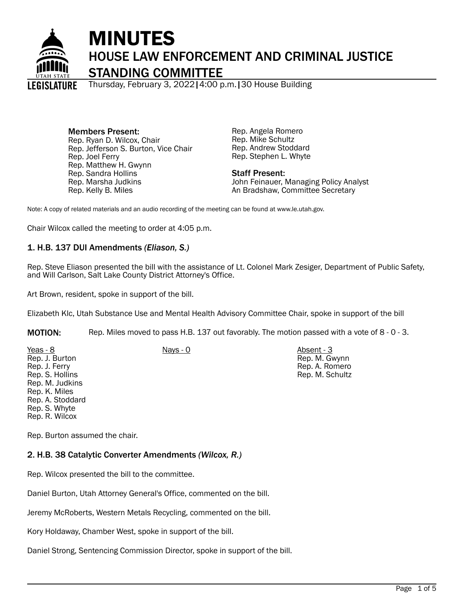

# MINUTES HOUSE LAW ENFORCEMENT AND CRIMINAL JUSTICE STANDING COMMITTEE

Thursday, February 3, 2022|4:00 p.m.|30 House Building

Members Present: Rep. Ryan D. Wilcox, Chair Rep. Jefferson S. Burton, Vice Chair Rep. Joel Ferry Rep. Matthew H. Gwynn Rep. Sandra Hollins Rep. Marsha Judkins Rep. Kelly B. Miles

Rep. Angela Romero Rep. Mike Schultz Rep. Andrew Stoddard Rep. Stephen L. Whyte

#### Staff Present:

John Feinauer, Managing Policy Analyst An Bradshaw, Committee Secretary

Note: A copy of related materials and an audio recording of the meeting can be found at www.le.utah.gov.

Chair Wilcox called the meeting to order at 4:05 p.m.

## 1. H.B. 137 DUI Amendments *(Eliason, S.)*

Rep. Steve Eliason presented the bill with the assistance of Lt. Colonel Mark Zesiger, Department of Public Safety, and Will Carlson, Salt Lake County District Attorney's Office.

Art Brown, resident, spoke in support of the bill.

Elizabeth Klc, Utah Substance Use and Mental Health Advisory Committee Chair, spoke in support of the bill

MOTION: Rep. Miles moved to pass H.B. 137 out favorably. The motion passed with a vote of 8 - 0 - 3.

| $Yeas - 8$       | $Nays - 0$ | Absent - 3      |
|------------------|------------|-----------------|
| Rep. J. Burton   |            | Rep. M. Gwynn   |
| Rep. J. Ferry    |            | Rep. A. Romero  |
| Rep. S. Hollins  |            | Rep. M. Schultz |
| Rep. M. Judkins  |            |                 |
| Rep. K. Miles    |            |                 |
| Rep. A. Stoddard |            |                 |
| Rep. S. Whyte    |            |                 |
| Rep. R. Wilcox   |            |                 |

Rep. Burton assumed the chair.

## 2. H.B. 38 Catalytic Converter Amendments *(Wilcox, R.)*

Rep. Wilcox presented the bill to the committee.

Daniel Burton, Utah Attorney General's Office, commented on the bill.

Jeremy McRoberts, Western Metals Recycling, commented on the bill.

Kory Holdaway, Chamber West, spoke in support of the bill.

Daniel Strong, Sentencing Commission Director, spoke in support of the bill.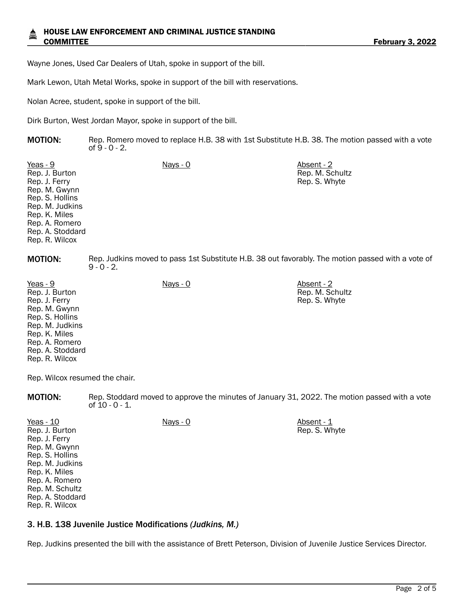Wayne Jones, Used Car Dealers of Utah, spoke in support of the bill.

Mark Lewon, Utah Metal Works, spoke in support of the bill with reservations.

Nolan Acree, student, spoke in support of the bill.

Dirk Burton, West Jordan Mayor, spoke in support of the bill.

**MOTION:** Rep. Romero moved to replace H.B. 38 with 1st Substitute H.B. 38. The motion passed with a vote of 9 - 0 - 2.

Yeas - 9 Nays - 0 Absent - 2 Rep. J. Burton Rep. J. Ferry Rep. M. Gwynn Rep. S. Hollins Rep. M. Judkins Rep. K. Miles Rep. A. Romero Rep. A. Stoddard Rep. R. Wilcox Rep. M. Schultz Rep. S. Whyte **MOTION:** Rep. Judkins moved to pass 1st Substitute H.B. 38 out favorably. The motion passed with a vote of  $9 - 0 - 2$ .

Yeas - 9 Nays - 0 Absent - 2 Rep. J. Burton Rep. J. Ferry Rep. M. Gwynn Rep. S. Hollins Rep. M. Judkins Rep. K. Miles Rep. A. Romero Rep. A. Stoddard Rep. R. Wilcox

Rep. M. Schultz Rep. S. Whyte

Rep. Wilcox resumed the chair.

MOTION: Rep. Stoddard moved to approve the minutes of January 31, 2022. The motion passed with a vote of 10 - 0 - 1.

| Yeas - 10        | Nays - 0 | Absent - 1    |
|------------------|----------|---------------|
| Rep. J. Burton   |          | Rep. S. Whyte |
| Rep. J. Ferry    |          |               |
| Rep. M. Gwynn    |          |               |
| Rep. S. Hollins  |          |               |
| Rep. M. Judkins  |          |               |
| Rep. K. Miles    |          |               |
| Rep. A. Romero   |          |               |
| Rep. M. Schultz  |          |               |
| Rep. A. Stoddard |          |               |
| Rep. R. Wilcox   |          |               |

#### 3. H.B. 138 Juvenile Justice Modifications *(Judkins, M.)*

Rep. Judkins presented the bill with the assistance of Brett Peterson, Division of Juvenile Justice Services Director.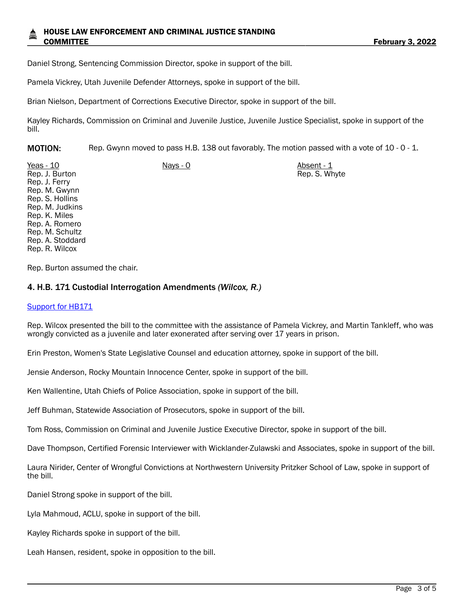Daniel Strong, Sentencing Commission Director, spoke in support of the bill.

Pamela Vickrey, Utah Juvenile Defender Attorneys, spoke in support of the bill.

Brian Nielson, Department of Corrections Executive Director, spoke in support of the bill.

Kayley Richards, Commission on Criminal and Juvenile Justice, Juvenile Justice Specialist, spoke in support of the bill.

MOTION: Rep. Gwynn moved to pass H.B. 138 out favorably. The motion passed with a vote of 10 - 0 - 1.

Yeas - 10 Nays - 0 Nays - 0 Absent - 1 Rep. J. Burton Rep. J. Ferry Rep. M. Gwynn Rep. S. Hollins Rep. M. Judkins Rep. K. Miles Rep. A. Romero Rep. M. Schultz Rep. A. Stoddard Rep. R. Wilcox Rep. S. Whyte

Rep. Burton assumed the chair.

#### 4. H.B. 171 Custodial Interrogation Amendments *(Wilcox, R.)*

#### [Support for HB171](https://le.utah.gov/interim/2022/pdf/00001512.pdf)

Rep. Wilcox presented the bill to the committee with the assistance of Pamela Vickrey, and Martin Tankleff, who was wrongly convicted as a juvenile and later exonerated after serving over 17 years in prison.

Erin Preston, Women's State Legislative Counsel and education attorney, spoke in support of the bill.

Jensie Anderson, Rocky Mountain Innocence Center, spoke in support of the bill.

Ken Wallentine, Utah Chiefs of Police Association, spoke in support of the bill.

Jeff Buhman, Statewide Association of Prosecutors, spoke in support of the bill.

Tom Ross, Commission on Criminal and Juvenile Justice Executive Director, spoke in support of the bill.

Dave Thompson, Certified Forensic Interviewer with Wicklander-Zulawski and Associates, spoke in support of the bill.

Laura Nirider, Center of Wrongful Convictions at Northwestern University Pritzker School of Law, spoke in support of the bill.

Daniel Strong spoke in support of the bill.

Lyla Mahmoud, ACLU, spoke in support of the bill.

Kayley Richards spoke in support of the bill.

Leah Hansen, resident, spoke in opposition to the bill.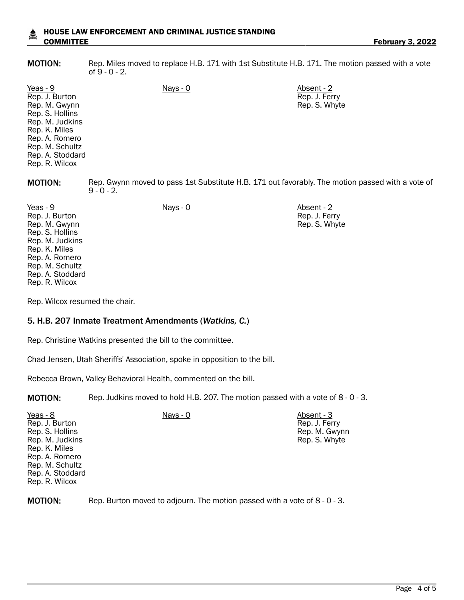#### HOUSE LAW ENFORCEMENT AND CRIMINAL JUSTICE STANDING COMMITTEE **February 3, 2022**

MOTION: Rep. Miles moved to replace H.B. 171 with 1st Substitute H.B. 171. The motion passed with a vote of 9 - 0 - 2.

> Rep. J. Ferry Rep. S. Whyte

| Yeas - 9<br>Rep. J. Burton<br>Rep. M. Gwynn<br>Rep. S. Hollins<br>Rep. M. Judkins<br>Rep. K. Miles<br>Rep. A. Romero<br>Rep. M. Schultz<br>Rep. A. Stoddard<br>Rep. R. Wilcox | Nays - 0                                                                                                          | Absent - 2<br>Rep. J. Ferry<br>Rep. S. Whyte |  |
|-------------------------------------------------------------------------------------------------------------------------------------------------------------------------------|-------------------------------------------------------------------------------------------------------------------|----------------------------------------------|--|
| <b>MOTION:</b>                                                                                                                                                                | Rep. Gwynn moved to pass 1st Substitute H.B. 171 out favorably. The motion passed with a vote of<br>$9 - 0 - 2$ . |                                              |  |

Yeas - 9 Nays - 0 Absent - 2 Rep. J. Burton Rep. M. Gwynn Rep. S. Hollins Rep. M. Judkins Rep. K. Miles Rep. A. Romero Rep. M. Schultz Rep. A. Stoddard Rep. R. Wilcox

Rep. Wilcox resumed the chair.

#### 5. H.B. 207 Inmate Treatment Amendments (*Watkins, C.*)

Rep. Christine Watkins presented the bill to the committee.

Chad Jensen, Utah Sheriffs' Association, spoke in opposition to the bill.

Rebecca Brown, Valley Behavioral Health, commented on the bill.

**MOTION:** Rep. Judkins moved to hold H.B. 207. The motion passed with a vote of 8 - 0 - 3.

| $Yeas - 8$<br>Rep. J. Burton<br>Rep. S. Hollins<br>Rep. M. Judkins<br>Rep. K. Miles<br>Rep. A. Romero<br>Rep. M. Schultz<br>Rep. A. Stoddard | Nays - 0 | Absent - 3<br>Rep. J. Ferry<br>Rep. M. Gwynn<br>Rep. S. Whyte |
|----------------------------------------------------------------------------------------------------------------------------------------------|----------|---------------------------------------------------------------|
| Rep. R. Wilcox                                                                                                                               |          |                                                               |

MOTION: Rep. Burton moved to adjourn. The motion passed with a vote of 8 - 0 - 3.